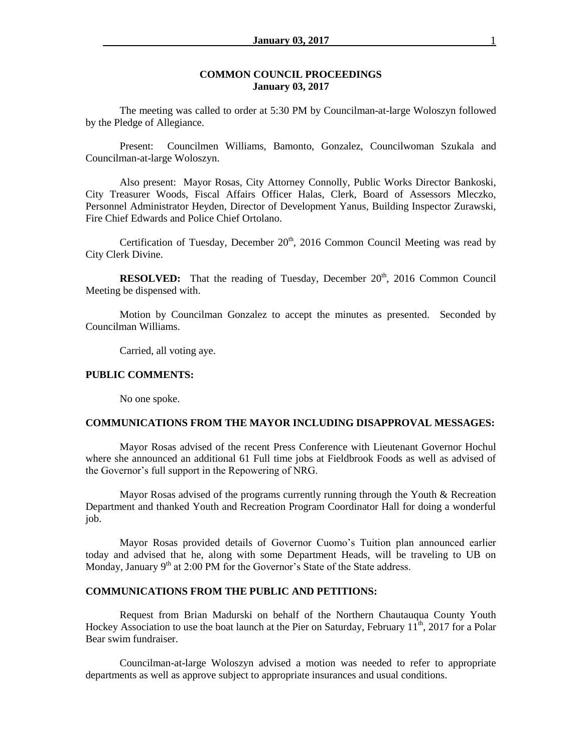## **COMMON COUNCIL PROCEEDINGS January 03, 2017**

The meeting was called to order at 5:30 PM by Councilman-at-large Woloszyn followed by the Pledge of Allegiance.

Present: Councilmen Williams, Bamonto, Gonzalez, Councilwoman Szukala and Councilman-at-large Woloszyn.

Also present: Mayor Rosas, City Attorney Connolly, Public Works Director Bankoski, City Treasurer Woods, Fiscal Affairs Officer Halas, Clerk, Board of Assessors Mleczko, Personnel Administrator Heyden, Director of Development Yanus, Building Inspector Zurawski, Fire Chief Edwards and Police Chief Ortolano.

Certification of Tuesday, December  $20<sup>th</sup>$ , 2016 Common Council Meeting was read by City Clerk Divine.

**RESOLVED:** That the reading of Tuesday, December 20<sup>th</sup>, 2016 Common Council Meeting be dispensed with.

Motion by Councilman Gonzalez to accept the minutes as presented. Seconded by Councilman Williams.

Carried, all voting aye.

#### **PUBLIC COMMENTS:**

No one spoke.

## **COMMUNICATIONS FROM THE MAYOR INCLUDING DISAPPROVAL MESSAGES:**

Mayor Rosas advised of the recent Press Conference with Lieutenant Governor Hochul where she announced an additional 61 Full time jobs at Fieldbrook Foods as well as advised of the Governor's full support in the Repowering of NRG.

Mayor Rosas advised of the programs currently running through the Youth & Recreation Department and thanked Youth and Recreation Program Coordinator Hall for doing a wonderful job.

Mayor Rosas provided details of Governor Cuomo's Tuition plan announced earlier today and advised that he, along with some Department Heads, will be traveling to UB on Monday, January  $9<sup>th</sup>$  at 2:00 PM for the Governor's State of the State address.

## **COMMUNICATIONS FROM THE PUBLIC AND PETITIONS:**

Request from Brian Madurski on behalf of the Northern Chautauqua County Youth Hockey Association to use the boat launch at the Pier on Saturday, February  $11^{th}$ , 2017 for a Polar Bear swim fundraiser.

Councilman-at-large Woloszyn advised a motion was needed to refer to appropriate departments as well as approve subject to appropriate insurances and usual conditions.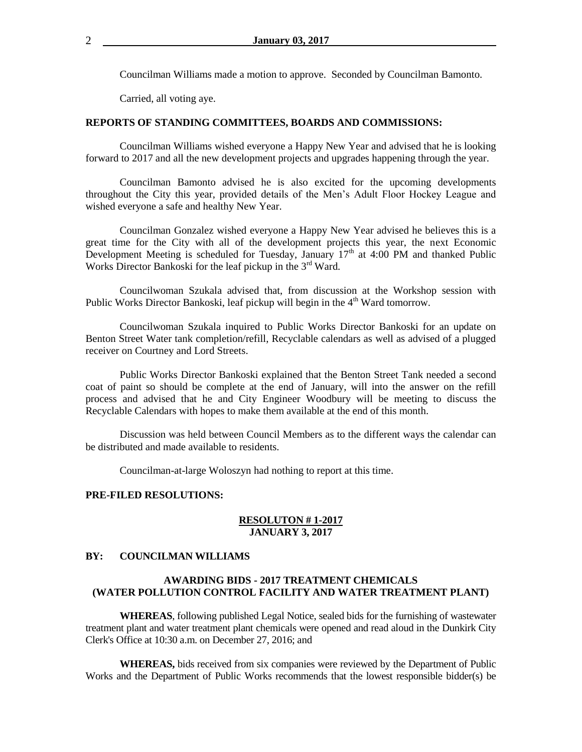Councilman Williams made a motion to approve. Seconded by Councilman Bamonto.

Carried, all voting aye.

### **REPORTS OF STANDING COMMITTEES, BOARDS AND COMMISSIONS:**

Councilman Williams wished everyone a Happy New Year and advised that he is looking forward to 2017 and all the new development projects and upgrades happening through the year.

Councilman Bamonto advised he is also excited for the upcoming developments throughout the City this year, provided details of the Men's Adult Floor Hockey League and wished everyone a safe and healthy New Year.

Councilman Gonzalez wished everyone a Happy New Year advised he believes this is a great time for the City with all of the development projects this year, the next Economic Development Meeting is scheduled for Tuesday, January  $17<sup>th</sup>$  at 4:00 PM and thanked Public Works Director Bankoski for the leaf pickup in the 3<sup>rd</sup> Ward.

Councilwoman Szukala advised that, from discussion at the Workshop session with Public Works Director Bankoski, leaf pickup will begin in the  $4<sup>th</sup>$  Ward tomorrow.

Councilwoman Szukala inquired to Public Works Director Bankoski for an update on Benton Street Water tank completion/refill, Recyclable calendars as well as advised of a plugged receiver on Courtney and Lord Streets.

Public Works Director Bankoski explained that the Benton Street Tank needed a second coat of paint so should be complete at the end of January, will into the answer on the refill process and advised that he and City Engineer Woodbury will be meeting to discuss the Recyclable Calendars with hopes to make them available at the end of this month.

Discussion was held between Council Members as to the different ways the calendar can be distributed and made available to residents.

Councilman-at-large Woloszyn had nothing to report at this time.

#### **PRE-FILED RESOLUTIONS:**

### **RESOLUTON # 1-2017 JANUARY 3, 2017**

#### **BY: COUNCILMAN WILLIAMS**

# **AWARDING BIDS - 2017 TREATMENT CHEMICALS (WATER POLLUTION CONTROL FACILITY AND WATER TREATMENT PLANT)**

**WHEREAS**, following published Legal Notice, sealed bids for the furnishing of wastewater treatment plant and water treatment plant chemicals were opened and read aloud in the Dunkirk City Clerk's Office at 10:30 a.m. on December 27, 2016; and

**WHEREAS,** bids received from six companies were reviewed by the Department of Public Works and the Department of Public Works recommends that the lowest responsible bidder(s) be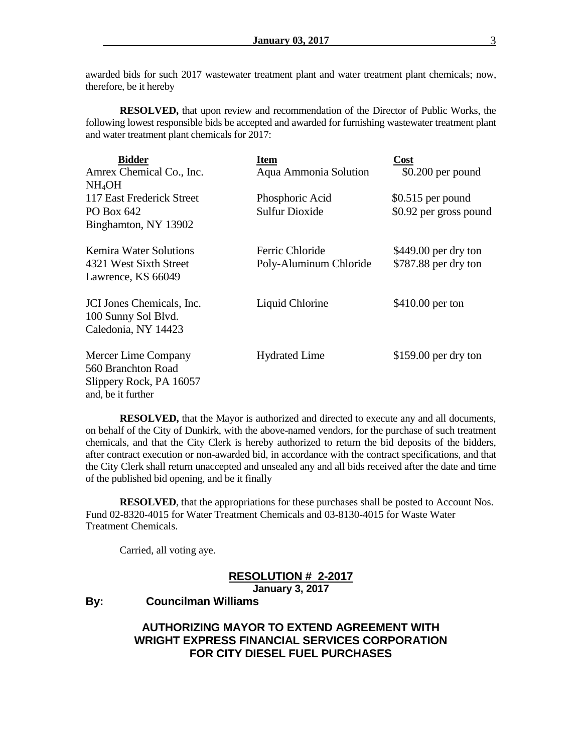awarded bids for such 2017 wastewater treatment plant and water treatment plant chemicals; now, therefore, be it hereby

**RESOLVED,** that upon review and recommendation of the Director of Public Works, the following lowest responsible bids be accepted and awarded for furnishing wastewater treatment plant and water treatment plant chemicals for 2017:

| <b>Bidder</b>             | Item                   | Cost                   |
|---------------------------|------------------------|------------------------|
| Amrex Chemical Co., Inc.  | Aqua Ammonia Solution  | $$0.200$ per pound     |
| NH4OH                     |                        |                        |
| 117 East Frederick Street | Phosphoric Acid        | $$0.515$ per pound     |
| PO Box 642                | <b>Sulfur Dioxide</b>  | \$0.92 per gross pound |
| Binghamton, NY 13902      |                        |                        |
| Kemira Water Solutions    | Ferric Chloride        | $$449.00$ per dry ton  |
| 4321 West Sixth Street    | Poly-Aluminum Chloride | \$787.88 per dry ton   |
| Lawrence, KS 66049        |                        |                        |
| JCI Jones Chemicals, Inc. | Liquid Chlorine        | \$410.00 per ton       |
| 100 Sunny Sol Blvd.       |                        |                        |
| Caledonia, NY 14423       |                        |                        |
| Mercer Lime Company       | <b>Hydrated Lime</b>   | $$159.00$ per dry ton  |
| 560 Branchton Road        |                        |                        |
| Slippery Rock, PA 16057   |                        |                        |
| and, be it further        |                        |                        |

**RESOLVED,** that the Mayor is authorized and directed to execute any and all documents, on behalf of the City of Dunkirk, with the above-named vendors, for the purchase of such treatment chemicals, and that the City Clerk is hereby authorized to return the bid deposits of the bidders, after contract execution or non-awarded bid, in accordance with the contract specifications, and that the City Clerk shall return unaccepted and unsealed any and all bids received after the date and time of the published bid opening, and be it finally

**RESOLVED**, that the appropriations for these purchases shall be posted to Account Nos. Fund 02-8320-4015 for Water Treatment Chemicals and 03-8130-4015 for Waste Water Treatment Chemicals.

Carried, all voting aye.

## **RESOLUTION # 2-2017 January 3, 2017**

**By: Councilman Williams**

# **AUTHORIZING MAYOR TO EXTEND AGREEMENT WITH WRIGHT EXPRESS FINANCIAL SERVICES CORPORATION FOR CITY DIESEL FUEL PURCHASES**